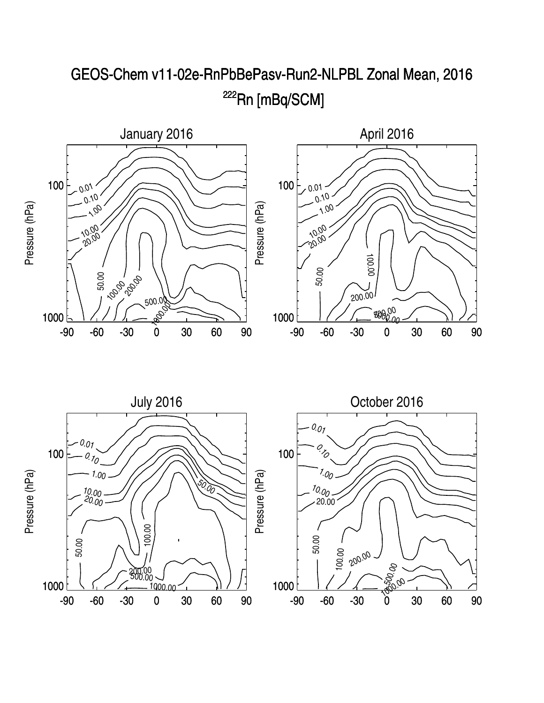

## GEOS-Chem v11-02e-RnPbBePasv-Run2-NLPBL Zonal Mean, 2016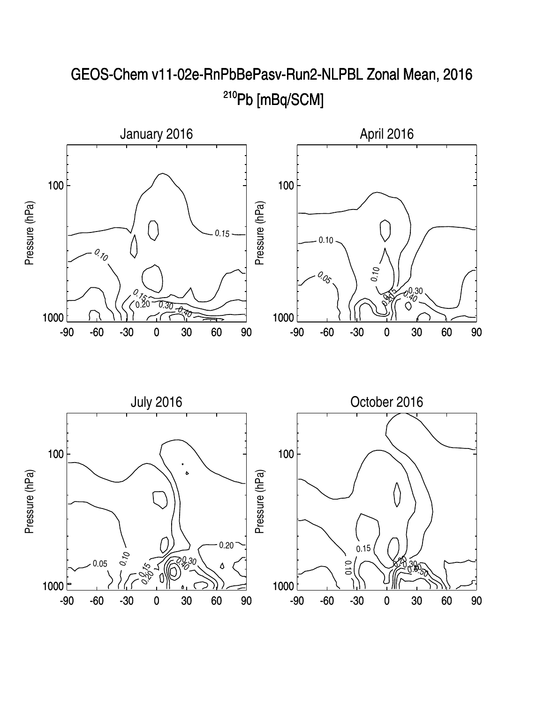

## GEOS-Chem v11-02e-RnPbBePasv-Run2-NLPBL Zonal Mean, 2016 <sup>210</sup>Pb [mBq/SCM]